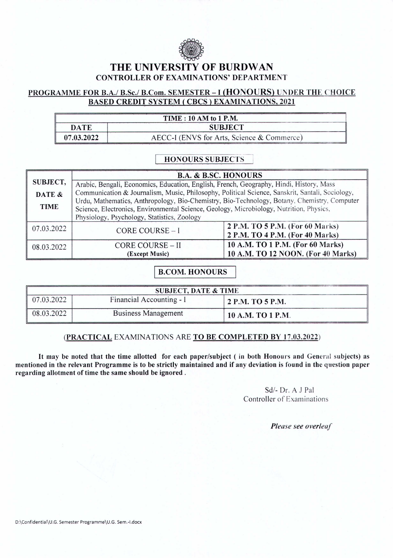

# **THE UNIVERSITY OF BURDW AN** CONTROLLER OF EXAMINATIONS' DEPARTMENT

# PROGRAMME FOR B.A./ B.Sc./ B.Com. SEMESTER - I (HONOURS) UNDER THE CHOICE BASED CREDIT SYSTEM (CBCS) EXAMINATIONS, 2021

# TIME: 10 AM to 1 P.M.

| DATE       | <b>SUBJECT</b>                             |
|------------|--------------------------------------------|
| 07.03.2022 | AECC-I (ENVS for Arts, Science & Commerce) |

### HONOURS SUBJECTSI

|             | <b>B.A. &amp; B.SC. HONOURS</b>                                                                 |                                    |  |
|-------------|-------------------------------------------------------------------------------------------------|------------------------------------|--|
| SUBJECT,    | Arabic, Bengali, Economics, Education, English, French, Geography, Hindi, History, Mass         |                                    |  |
| DATE &      | Communication & Journalism, Music, Philosophy, Political Science, Sanskrit, Santali, Sociology, |                                    |  |
|             | Urdu, Mathematics, Anthropology, Bio-Chemistry, Bio-Technology, Botany, Chemistry, Computer     |                                    |  |
| <b>TIME</b> | Science, Electronics, Environmental Science, Geology, Microbiology, Nutrition, Physics,         |                                    |  |
|             | Physiology, Psychology, Statistics, Zoology                                                     |                                    |  |
| 07.03.2022  | CORE COURSE - I                                                                                 | 2 P.M. TO 5 P.M. (For 60 Marks)    |  |
|             |                                                                                                 | 2 P.M. TO 4 P.M. (For 40 Marks)    |  |
| 08.03.2022  | <b>CORE COURSE - II</b>                                                                         | 10 A.M. TO 1 P.M. (For 60 Marks)   |  |
|             | (Except Music)                                                                                  | 10 A.M. TO 12 NOON. (For 40 Marks) |  |

#### **B.COM. HONOURS**

| <b>SUBJECT, DATE &amp; TIME</b> |                            |                   |  |
|---------------------------------|----------------------------|-------------------|--|
| $\sqrt{07.03.2022}$             | Financial Accounting - I   | 2 P.M. TO 5 P.M.  |  |
| 08.03.2022                      | <b>Business Management</b> | 10 A.M. TO 1 P.M. |  |

#### (PRACTICAL EXAMINATIONS ARE TO BE COMPLETED BY 17.03.2022)

It may be noted that the time allotted for each paper/subject ( in both Honours and General subjects) as mentioned in the relevant Programme is to be strictly maintained and if any deviation is found in the question paper regarding allotment of time the same should be ignored.

> Sd/- Dr. A J Pal Controller of Examinations

> > *Please see overleaf*